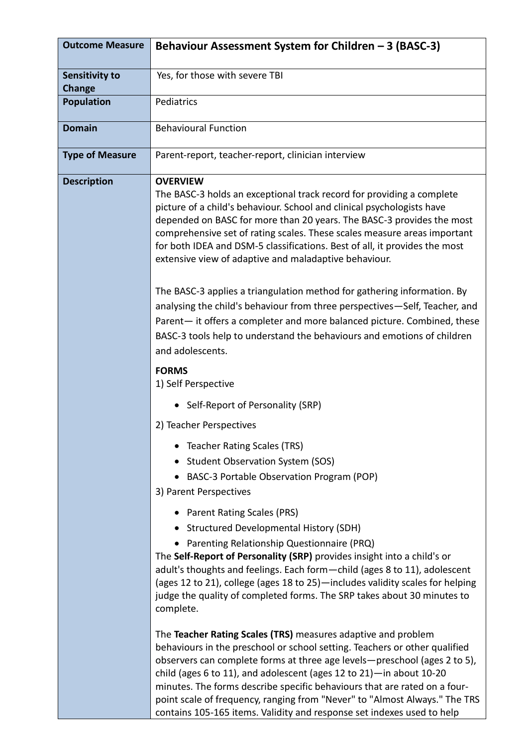| <b>Outcome Measure</b>          | Behaviour Assessment System for Children - 3 (BASC-3)                                                                                                                                                                                                                                                                                                                                                                                                                                                                                    |
|---------------------------------|------------------------------------------------------------------------------------------------------------------------------------------------------------------------------------------------------------------------------------------------------------------------------------------------------------------------------------------------------------------------------------------------------------------------------------------------------------------------------------------------------------------------------------------|
| Sensitivity to<br><b>Change</b> | Yes, for those with severe TBI                                                                                                                                                                                                                                                                                                                                                                                                                                                                                                           |
| <b>Population</b>               | Pediatrics                                                                                                                                                                                                                                                                                                                                                                                                                                                                                                                               |
| <b>Domain</b>                   | <b>Behavioural Function</b>                                                                                                                                                                                                                                                                                                                                                                                                                                                                                                              |
| <b>Type of Measure</b>          | Parent-report, teacher-report, clinician interview                                                                                                                                                                                                                                                                                                                                                                                                                                                                                       |
| <b>Description</b>              | <b>OVERVIEW</b><br>The BASC-3 holds an exceptional track record for providing a complete<br>picture of a child's behaviour. School and clinical psychologists have<br>depended on BASC for more than 20 years. The BASC-3 provides the most<br>comprehensive set of rating scales. These scales measure areas important<br>for both IDEA and DSM-5 classifications. Best of all, it provides the most<br>extensive view of adaptive and maladaptive behaviour.                                                                           |
|                                 | The BASC-3 applies a triangulation method for gathering information. By<br>analysing the child's behaviour from three perspectives-Self, Teacher, and<br>Parent- it offers a completer and more balanced picture. Combined, these<br>BASC-3 tools help to understand the behaviours and emotions of children<br>and adolescents.                                                                                                                                                                                                         |
|                                 | <b>FORMS</b><br>1) Self Perspective                                                                                                                                                                                                                                                                                                                                                                                                                                                                                                      |
|                                 | • Self-Report of Personality (SRP)                                                                                                                                                                                                                                                                                                                                                                                                                                                                                                       |
|                                 | 2) Teacher Perspectives                                                                                                                                                                                                                                                                                                                                                                                                                                                                                                                  |
|                                 | <b>Teacher Rating Scales (TRS)</b>                                                                                                                                                                                                                                                                                                                                                                                                                                                                                                       |
|                                 | • Student Observation System (SOS)<br>• BASC-3 Portable Observation Program (POP)                                                                                                                                                                                                                                                                                                                                                                                                                                                        |
|                                 | 3) Parent Perspectives                                                                                                                                                                                                                                                                                                                                                                                                                                                                                                                   |
|                                 | • Parent Rating Scales (PRS)                                                                                                                                                                                                                                                                                                                                                                                                                                                                                                             |
|                                 | • Structured Developmental History (SDH)                                                                                                                                                                                                                                                                                                                                                                                                                                                                                                 |
|                                 | Parenting Relationship Questionnaire (PRQ)<br>The Self-Report of Personality (SRP) provides insight into a child's or<br>adult's thoughts and feelings. Each form - child (ages 8 to 11), adolescent<br>(ages 12 to 21), college (ages 18 to 25) - includes validity scales for helping<br>judge the quality of completed forms. The SRP takes about 30 minutes to<br>complete.                                                                                                                                                          |
|                                 | The Teacher Rating Scales (TRS) measures adaptive and problem<br>behaviours in the preschool or school setting. Teachers or other qualified<br>observers can complete forms at three age levels-preschool (ages 2 to 5),<br>child (ages 6 to 11), and adolescent (ages 12 to 21) $-$ in about 10-20<br>minutes. The forms describe specific behaviours that are rated on a four-<br>point scale of frequency, ranging from "Never" to "Almost Always." The TRS<br>contains 105-165 items. Validity and response set indexes used to help |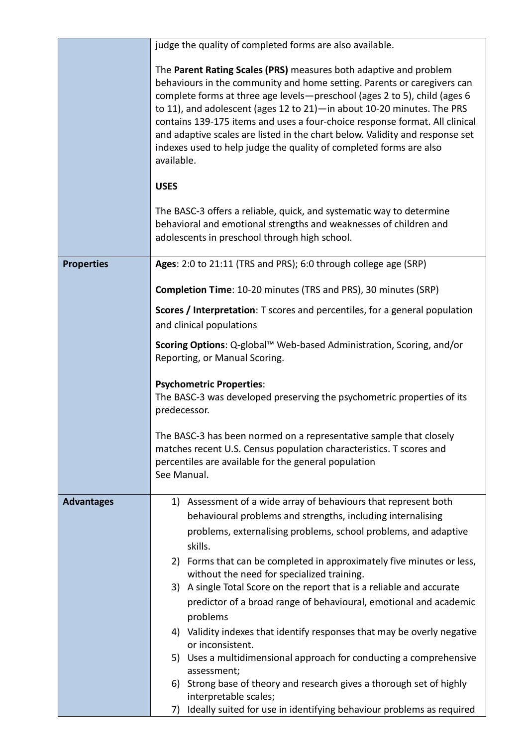|                   | judge the quality of completed forms are also available.                                                                                                                                                                                                                                                                                                                                                                                                                                                                                                 |
|-------------------|----------------------------------------------------------------------------------------------------------------------------------------------------------------------------------------------------------------------------------------------------------------------------------------------------------------------------------------------------------------------------------------------------------------------------------------------------------------------------------------------------------------------------------------------------------|
|                   |                                                                                                                                                                                                                                                                                                                                                                                                                                                                                                                                                          |
|                   | The Parent Rating Scales (PRS) measures both adaptive and problem<br>behaviours in the community and home setting. Parents or caregivers can<br>complete forms at three age levels-preschool (ages 2 to 5), child (ages 6<br>to 11), and adolescent (ages 12 to 21) - in about 10-20 minutes. The PRS<br>contains 139-175 items and uses a four-choice response format. All clinical<br>and adaptive scales are listed in the chart below. Validity and response set<br>indexes used to help judge the quality of completed forms are also<br>available. |
|                   | <b>USES</b>                                                                                                                                                                                                                                                                                                                                                                                                                                                                                                                                              |
|                   | The BASC-3 offers a reliable, quick, and systematic way to determine<br>behavioral and emotional strengths and weaknesses of children and<br>adolescents in preschool through high school.                                                                                                                                                                                                                                                                                                                                                               |
| <b>Properties</b> | Ages: 2:0 to 21:11 (TRS and PRS); 6:0 through college age (SRP)                                                                                                                                                                                                                                                                                                                                                                                                                                                                                          |
|                   | <b>Completion Time: 10-20 minutes (TRS and PRS), 30 minutes (SRP)</b>                                                                                                                                                                                                                                                                                                                                                                                                                                                                                    |
|                   | Scores / Interpretation: T scores and percentiles, for a general population<br>and clinical populations                                                                                                                                                                                                                                                                                                                                                                                                                                                  |
|                   | Scoring Options: Q-global™ Web-based Administration, Scoring, and/or<br>Reporting, or Manual Scoring.                                                                                                                                                                                                                                                                                                                                                                                                                                                    |
|                   | <b>Psychometric Properties:</b><br>The BASC-3 was developed preserving the psychometric properties of its<br>predecessor.                                                                                                                                                                                                                                                                                                                                                                                                                                |
|                   | The BASC-3 has been normed on a representative sample that closely<br>matches recent U.S. Census population characteristics. T scores and<br>percentiles are available for the general population<br>See Manual.                                                                                                                                                                                                                                                                                                                                         |
| <b>Advantages</b> | 1) Assessment of a wide array of behaviours that represent both                                                                                                                                                                                                                                                                                                                                                                                                                                                                                          |
|                   | behavioural problems and strengths, including internalising                                                                                                                                                                                                                                                                                                                                                                                                                                                                                              |
|                   | problems, externalising problems, school problems, and adaptive                                                                                                                                                                                                                                                                                                                                                                                                                                                                                          |
|                   | skills.                                                                                                                                                                                                                                                                                                                                                                                                                                                                                                                                                  |
|                   | 2) Forms that can be completed in approximately five minutes or less,<br>without the need for specialized training.                                                                                                                                                                                                                                                                                                                                                                                                                                      |
|                   | 3) A single Total Score on the report that is a reliable and accurate                                                                                                                                                                                                                                                                                                                                                                                                                                                                                    |
|                   | predictor of a broad range of behavioural, emotional and academic                                                                                                                                                                                                                                                                                                                                                                                                                                                                                        |
|                   | problems<br>4) Validity indexes that identify responses that may be overly negative                                                                                                                                                                                                                                                                                                                                                                                                                                                                      |
|                   | or inconsistent.                                                                                                                                                                                                                                                                                                                                                                                                                                                                                                                                         |
|                   | 5) Uses a multidimensional approach for conducting a comprehensive                                                                                                                                                                                                                                                                                                                                                                                                                                                                                       |
|                   | assessment;<br>Strong base of theory and research gives a thorough set of highly<br>6)                                                                                                                                                                                                                                                                                                                                                                                                                                                                   |
|                   | interpretable scales;                                                                                                                                                                                                                                                                                                                                                                                                                                                                                                                                    |
|                   | Ideally suited for use in identifying behaviour problems as required<br>7)                                                                                                                                                                                                                                                                                                                                                                                                                                                                               |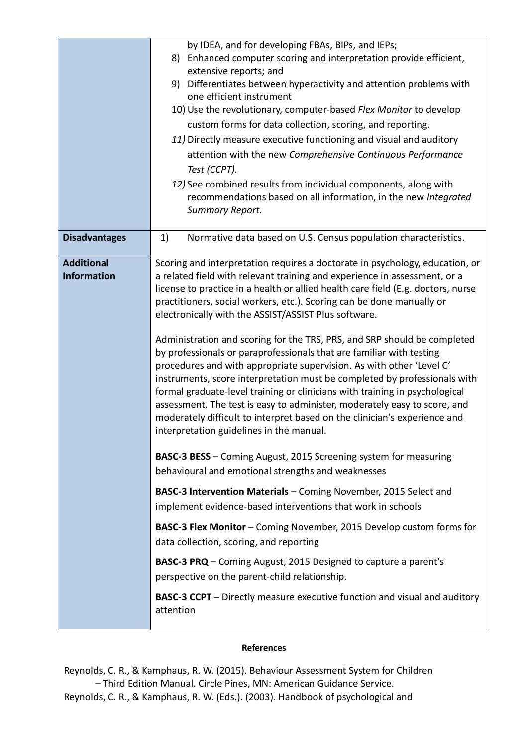|                                         | by IDEA, and for developing FBAs, BIPs, and IEPs;<br>Enhanced computer scoring and interpretation provide efficient,<br>8)<br>extensive reports; and<br>9) Differentiates between hyperactivity and attention problems with<br>one efficient instrument<br>10) Use the revolutionary, computer-based Flex Monitor to develop<br>custom forms for data collection, scoring, and reporting.<br>11) Directly measure executive functioning and visual and auditory<br>attention with the new Comprehensive Continuous Performance<br>Test (CCPT).<br>12) See combined results from individual components, along with<br>recommendations based on all information, in the new Integrated<br>Summary Report.                                                                                                                                                                                                                                                                                                                                                                                                                                                                                                                                                                                                                                                                                                                                                                                                                                                                                  |
|-----------------------------------------|------------------------------------------------------------------------------------------------------------------------------------------------------------------------------------------------------------------------------------------------------------------------------------------------------------------------------------------------------------------------------------------------------------------------------------------------------------------------------------------------------------------------------------------------------------------------------------------------------------------------------------------------------------------------------------------------------------------------------------------------------------------------------------------------------------------------------------------------------------------------------------------------------------------------------------------------------------------------------------------------------------------------------------------------------------------------------------------------------------------------------------------------------------------------------------------------------------------------------------------------------------------------------------------------------------------------------------------------------------------------------------------------------------------------------------------------------------------------------------------------------------------------------------------------------------------------------------------|
| <b>Disadvantages</b>                    | Normative data based on U.S. Census population characteristics.<br>1)                                                                                                                                                                                                                                                                                                                                                                                                                                                                                                                                                                                                                                                                                                                                                                                                                                                                                                                                                                                                                                                                                                                                                                                                                                                                                                                                                                                                                                                                                                                    |
| <b>Additional</b><br><b>Information</b> | Scoring and interpretation requires a doctorate in psychology, education, or<br>a related field with relevant training and experience in assessment, or a<br>license to practice in a health or allied health care field (E.g. doctors, nurse<br>practitioners, social workers, etc.). Scoring can be done manually or<br>electronically with the ASSIST/ASSIST Plus software.<br>Administration and scoring for the TRS, PRS, and SRP should be completed<br>by professionals or paraprofessionals that are familiar with testing<br>procedures and with appropriate supervision. As with other 'Level C'<br>instruments, score interpretation must be completed by professionals with<br>formal graduate-level training or clinicians with training in psychological<br>assessment. The test is easy to administer, moderately easy to score, and<br>moderately difficult to interpret based on the clinician's experience and<br>interpretation guidelines in the manual.<br>BASC-3 BESS - Coming August, 2015 Screening system for measuring<br>behavioural and emotional strengths and weaknesses<br>BASC-3 Intervention Materials - Coming November, 2015 Select and<br>implement evidence-based interventions that work in schools<br>BASC-3 Flex Monitor - Coming November, 2015 Develop custom forms for<br>data collection, scoring, and reporting<br><b>BASC-3 PRQ</b> – Coming August, 2015 Designed to capture a parent's<br>perspective on the parent-child relationship.<br><b>BASC-3 CCPT</b> – Directly measure executive function and visual and auditory<br>attention |

## **References**

Reynolds, C. R., & Kamphaus, R. W. (2015). Behaviour Assessment System for Children – Third Edition Manual. Circle Pines, MN: American Guidance Service. Reynolds, C. R., & Kamphaus, R. W. (Eds.). (2003). Handbook of psychological and